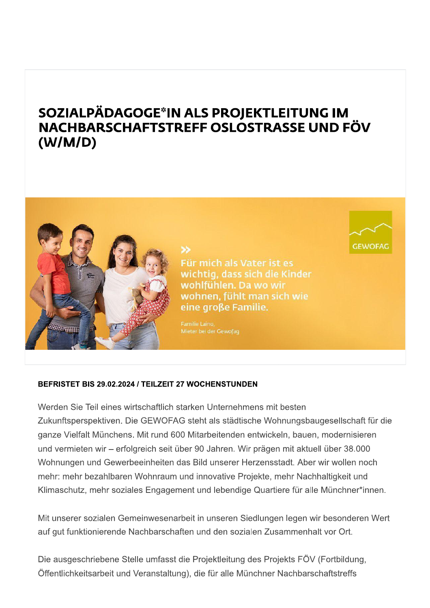# SOZIALPÄDAGOGE\*IN ALS PROJEKTLEITUNG IM NACHBARSCHAFTSTREFF OSLOSTRASSE UND FÖV  $(W/M/D)$



Für mich als Vater ist es wichtig, dass sich die Kinder wohlfühlen. Da wo wir wohnen, fühlt man sich wie eine große Familie.

**GEWOFAG** 

Familie Laino,

≫

#### BEFRISTET BIS 29.02.2024 / TEILZEIT 27 WOCHENSTUNDEN

Werden Sie Teil eines wirtschaftlich starken Unternehmens mit besten Zukunftsperspektiven. Die GEWOFAG steht als städtische Wohnungsbaugesellschaft für die ganze Vielfalt Münchens. Mit rund 600 Mitarbeitenden entwickeln, bauen, modernisieren und vermieten wir – erfolgreich seit über 90 Jahren. Wir prägen mit aktuell über 38.000 Wohnungen und Gewerbeeinheiten das Bild unserer Herzensstadt. Aber wir wollen noch mehr: mehr bezahlbaren Wohnraum und innovative Projekte, mehr Nachhaltigkeit und Klimaschutz, mehr soziales Engagement und lebendige Quartiere für alle Münchner\*innen.

Mit unserer sozialen Gemeinwesenarbeit in unseren Siedlungen legen wir besonderen Wert auf gut funktionierende Nachbarschaften und den sozialen Zusammenhalt vor Ort.

Die ausgeschriebene Stelle umfasst die Projektleitung des Projekts FÖV (Fortbildung, Öffentlichkeitsarbeit und Veranstaltung), die für alle Münchner Nachbarschaftstreffs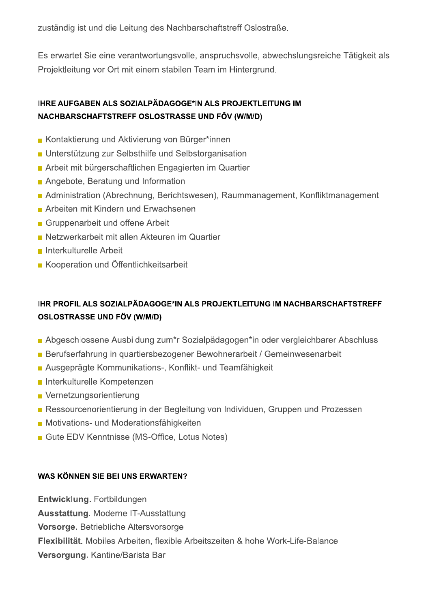zuständig ist und die Leitung des Nachbarschaftstreff Oslostraße.

Es erwartet Sie eine verantwortungsvolle, anspruchsvolle, abwechslungsreiche Tätigkeit als Projektleitung vor Ort mit einem stabilen Team im Hintergrund.

## IHRE AUFGABEN ALS SOZIALPÄDAGOGE\*IN ALS PROJEKTLEITUNG IM NACHBARSCHAFTSTREFF OSLOSTRASSE UND FÖV (W/M/D)

- Kontaktierung und Aktivierung von Bürger\*innen
- Unterstützung zur Selbsthilfe und Selbstorganisation
- Arbeit mit bürgerschaftlichen Engagierten im Quartier
- Angebote, Beratung und Information
- Administration (Abrechnung, Berichtswesen), Raummanagement, Konfliktmanagement
- Arbeiten mit Kindern und Erwachsenen
- Gruppenarbeit und offene Arbeit
- Netzwerkarbeit mit allen Akteuren im Quartier
- **Interkulturelle Arbeit**
- Kooperation und Öffentlichkeitsarbeit

## IHR PROFIL ALS SOZIALPÄDAGOGE\*IN ALS PROJEKTLEITUNG IM NACHBARSCHAFTSTREFF **OSLOSTRASSE UND FÖV (W/M/D)**

- Abgeschlossene Ausbildung zum\*r Sozialpädagogen\*in oder vergleichbarer Abschluss
- Berufserfahrung in quartiersbezogener Bewohnerarbeit / Gemeinwesenarbeit
- Ausgeprägte Kommunikations-, Konflikt- und Teamfähigkeit
- Interkulturelle Kompetenzen
- Vernetzungsorientierung
- Ressourcenorientierung in der Begleitung von Individuen, Gruppen und Prozessen
- Motivations- und Moderationsfähigkeiten
- Gute EDV Kenntnisse (MS-Office, Lotus Notes)

#### WAS KÖNNEN SIE BEI UNS ERWARTEN?

Entwicklung. Fortbildungen **Ausstattung. Moderne IT-Ausstattung** Vorsorge. Betriebliche Altersvorsorge Flexibilität. Mobiles Arbeiten, flexible Arbeitszeiten & hohe Work-Life-Balance

Versorgung. Kantine/Barista Bar